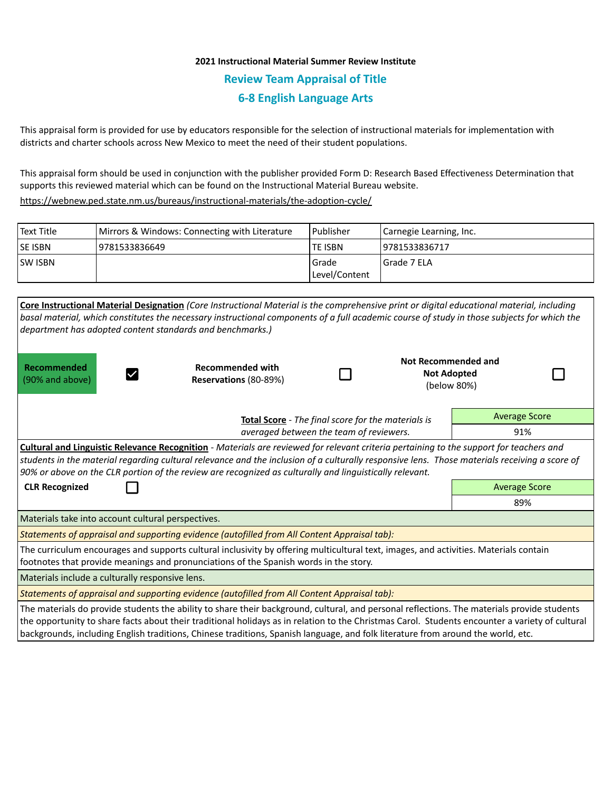# **2021 Instructional Material Summer Review Institute Review Team Appraisal of Title 6-8 English Language Arts**

This appraisal form is provided for use by educators responsible for the selection of instructional materials for implementation with districts and charter schools across New Mexico to meet the need of their student populations.

This appraisal form should be used in conjunction with the publisher provided Form D: Research Based Effectiveness Determination that supports this reviewed material which can be found on the Instructional Material Bureau website.

<https://webnew.ped.state.nm.us/bureaus/instructional-materials/the-adoption-cycle/>

| Text Title     | Mirrors & Windows: Connecting with Literature | l Publisher            | Carnegie Learning, Inc. |
|----------------|-----------------------------------------------|------------------------|-------------------------|
| <b>SE ISBN</b> | 9781533836649                                 | <b>TE ISBN</b>         | 9781533836717           |
| <b>SW ISBN</b> |                                               | Grade<br>Level/Content | I Grade 7 ELA           |

| Core Instructional Material Designation (Core Instructional Material is the comprehensive print or digital educational material, including<br>basal material, which constitutes the necessary instructional components of a full academic course of study in those subjects for which the<br>department has adopted content standards and benchmarks.)                                                                                               |                                                  |     |  |                                                          |  |  |  |  |  |
|------------------------------------------------------------------------------------------------------------------------------------------------------------------------------------------------------------------------------------------------------------------------------------------------------------------------------------------------------------------------------------------------------------------------------------------------------|--------------------------------------------------|-----|--|----------------------------------------------------------|--|--|--|--|--|
| Recommended<br>(90% and above)                                                                                                                                                                                                                                                                                                                                                                                                                       | <b>Recommended with</b><br>Reservations (80-89%) |     |  | Not Recommended and<br><b>Not Adopted</b><br>(below 80%) |  |  |  |  |  |
|                                                                                                                                                                                                                                                                                                                                                                                                                                                      | <b>Average Score</b>                             |     |  |                                                          |  |  |  |  |  |
|                                                                                                                                                                                                                                                                                                                                                                                                                                                      | averaged between the team of reviewers.          | 91% |  |                                                          |  |  |  |  |  |
| Cultural and Linguistic Relevance Recognition - Materials are reviewed for relevant criteria pertaining to the support for teachers and<br>students in the material regarding cultural relevance and the inclusion of a culturally responsive lens. Those materials receiving a score of<br>90% or above on the CLR portion of the review are recognized as culturally and linguistically relevant.<br><b>CLR Recognized</b><br><b>Average Score</b> |                                                  |     |  |                                                          |  |  |  |  |  |
|                                                                                                                                                                                                                                                                                                                                                                                                                                                      |                                                  |     |  | 89%                                                      |  |  |  |  |  |
| Materials take into account cultural perspectives.                                                                                                                                                                                                                                                                                                                                                                                                   |                                                  |     |  |                                                          |  |  |  |  |  |
| Statements of appraisal and supporting evidence (autofilled from All Content Appraisal tab):                                                                                                                                                                                                                                                                                                                                                         |                                                  |     |  |                                                          |  |  |  |  |  |
| The curriculum encourages and supports cultural inclusivity by offering multicultural text, images, and activities. Materials contain<br>footnotes that provide meanings and pronunciations of the Spanish words in the story.                                                                                                                                                                                                                       |                                                  |     |  |                                                          |  |  |  |  |  |
| Materials include a culturally responsive lens.                                                                                                                                                                                                                                                                                                                                                                                                      |                                                  |     |  |                                                          |  |  |  |  |  |
| Statements of appraisal and supporting evidence (autofilled from All Content Appraisal tab):                                                                                                                                                                                                                                                                                                                                                         |                                                  |     |  |                                                          |  |  |  |  |  |
| The materials do provide students the ability to share their background, cultural, and personal reflections. The materials provide students<br>the opportunity to share facts about their traditional holidays as in relation to the Christmas Carol. Students encounter a variety of cultural<br>backgrounds, including English traditions, Chinese traditions, Spanish language, and folk literature from around the world, etc.                   |                                                  |     |  |                                                          |  |  |  |  |  |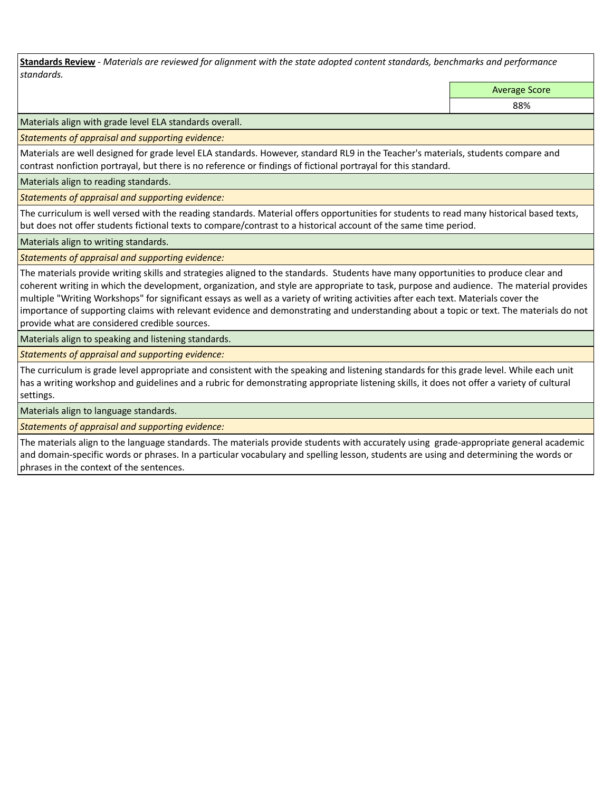**Standards Review** *- Materials are reviewed for alignment with the state adopted content standards, benchmarks and performance standards.*

Average Score

88%

Materials align with grade level ELA standards overall.

*Statements of appraisal and supporting evidence:* 

Materials are well designed for grade level ELA standards. However, standard RL9 in the Teacher's materials, students compare and contrast nonfiction portrayal, but there is no reference or findings of fictional portrayal for this standard.

Materials align to reading standards.

*Statements of appraisal and supporting evidence:* 

The curriculum is well versed with the reading standards. Material offers opportunities for students to read many historical based texts, but does not offer students fictional texts to compare/contrast to a historical account of the same time period.

Materials align to writing standards.

*Statements of appraisal and supporting evidence:* 

The materials provide writing skills and strategies aligned to the standards. Students have many opportunities to produce clear and coherent writing in which the development, organization, and style are appropriate to task, purpose and audience. The material provides multiple "Writing Workshops" for significant essays as well as a variety of writing activities after each text. Materials cover the importance of supporting claims with relevant evidence and demonstrating and understanding about a topic or text. The materials do not provide what are considered credible sources.

Materials align to speaking and listening standards.

*Statements of appraisal and supporting evidence:* 

The curriculum is grade level appropriate and consistent with the speaking and listening standards for this grade level. While each unit has a writing workshop and guidelines and a rubric for demonstrating appropriate listening skills, it does not offer a variety of cultural settings.

Materials align to language standards.

*Statements of appraisal and supporting evidence:* 

The materials align to the language standards. The materials provide students with accurately using grade-appropriate general academic and domain-specific words or phrases. In a particular vocabulary and spelling lesson, students are using and determining the words or phrases in the context of the sentences.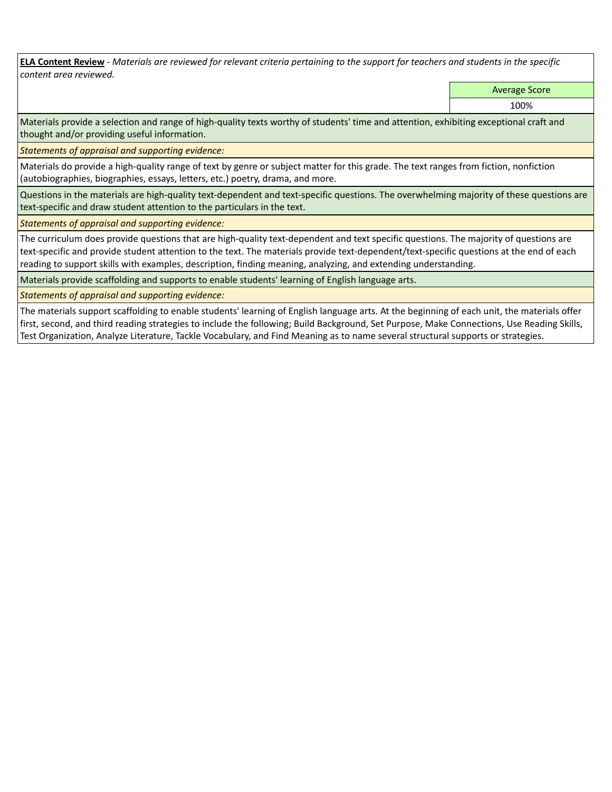**ELA Content Review** *- Materials are reviewed for relevant criteria pertaining to the support for teachers and students in the specific content area reviewed.*

Average Score

100%

Materials provide a selection and range of high-quality texts worthy of students' time and attention, exhibiting exceptional craft and thought and/or providing useful information.

*Statements of appraisal and supporting evidence:* 

Materials do provide a high-quality range of text by genre or subject matter for this grade. The text ranges from fiction, nonfiction (autobiographies, biographies, essays, letters, etc.) poetry, drama, and more.

Questions in the materials are high-quality text-dependent and text-specific questions. The overwhelming majority of these questions are text-specific and draw student attention to the particulars in the text.

*Statements of appraisal and supporting evidence:* 

The curriculum does provide questions that are high-quality text-dependent and text specific questions. The majority of questions are text-specific and provide student attention to the text. The materials provide text-dependent/text-specific questions at the end of each reading to support skills with examples, description, finding meaning, analyzing, and extending understanding.

Materials provide scaffolding and supports to enable students' learning of English language arts.

*Statements of appraisal and supporting evidence:* 

The materials support scaffolding to enable students' learning of English language arts. At the beginning of each unit, the materials offer first, second, and third reading strategies to include the following; Build Background, Set Purpose, Make Connections, Use Reading Skills, Test Organization, Analyze Literature, Tackle Vocabulary, and Find Meaning as to name several structural supports or strategies.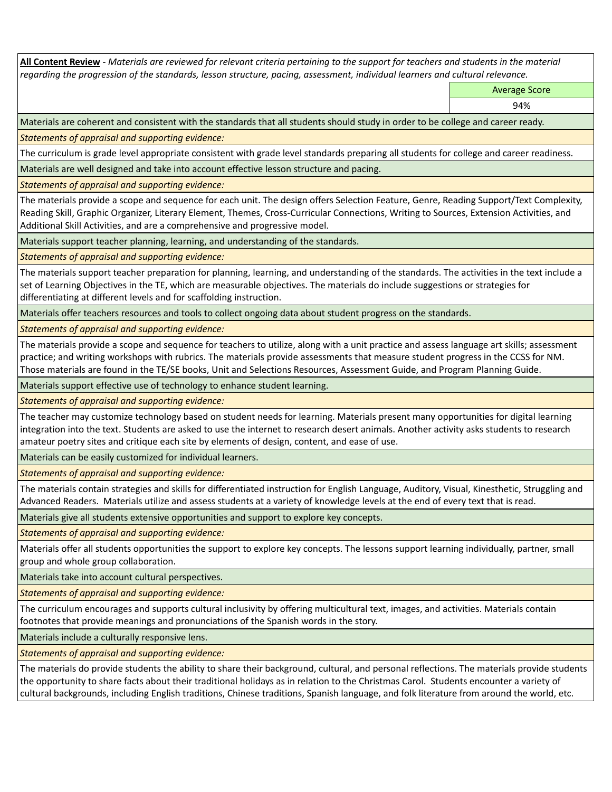**All Content Review** *- Materials are reviewed for relevant criteria pertaining to the support for teachers and students in the material regarding the progression of the standards, lesson structure, pacing, assessment, individual learners and cultural relevance.*

Average Score

94%

Materials are coherent and consistent with the standards that all students should study in order to be college and career ready.

*Statements of appraisal and supporting evidence:*

The curriculum is grade level appropriate consistent with grade level standards preparing all students for college and career readiness.

Materials are well designed and take into account effective lesson structure and pacing.

*Statements of appraisal and supporting evidence:*

The materials provide a scope and sequence for each unit. The design offers Selection Feature, Genre, Reading Support/Text Complexity, Reading Skill, Graphic Organizer, Literary Element, Themes, Cross-Curricular Connections, Writing to Sources, Extension Activities, and Additional Skill Activities, and are a comprehensive and progressive model.

Materials support teacher planning, learning, and understanding of the standards.

*Statements of appraisal and supporting evidence:*

The materials support teacher preparation for planning, learning, and understanding of the standards. The activities in the text include a set of Learning Objectives in the TE, which are measurable objectives. The materials do include suggestions or strategies for differentiating at different levels and for scaffolding instruction.

Materials offer teachers resources and tools to collect ongoing data about student progress on the standards.

*Statements of appraisal and supporting evidence:*

The materials provide a scope and sequence for teachers to utilize, along with a unit practice and assess language art skills; assessment practice; and writing workshops with rubrics. The materials provide assessments that measure student progress in the CCSS for NM. Those materials are found in the TE/SE books, Unit and Selections Resources, Assessment Guide, and Program Planning Guide.

Materials support effective use of technology to enhance student learning.

*Statements of appraisal and supporting evidence:*

The teacher may customize technology based on student needs for learning. Materials present many opportunities for digital learning integration into the text. Students are asked to use the internet to research desert animals. Another activity asks students to research amateur poetry sites and critique each site by elements of design, content, and ease of use.

Materials can be easily customized for individual learners.

*Statements of appraisal and supporting evidence:* 

The materials contain strategies and skills for differentiated instruction for English Language, Auditory, Visual, Kinesthetic, Struggling and Advanced Readers. Materials utilize and assess students at a variety of knowledge levels at the end of every text that is read.

Materials give all students extensive opportunities and support to explore key concepts.

*Statements of appraisal and supporting evidence:*

Materials offer all students opportunities the support to explore key concepts. The lessons support learning individually, partner, small group and whole group collaboration.

Materials take into account cultural perspectives.

*Statements of appraisal and supporting evidence:*

The curriculum encourages and supports cultural inclusivity by offering multicultural text, images, and activities. Materials contain footnotes that provide meanings and pronunciations of the Spanish words in the story.

Materials include a culturally responsive lens.

*Statements of appraisal and supporting evidence:*

The materials do provide students the ability to share their background, cultural, and personal reflections. The materials provide students the opportunity to share facts about their traditional holidays as in relation to the Christmas Carol. Students encounter a variety of cultural backgrounds, including English traditions, Chinese traditions, Spanish language, and folk literature from around the world, etc.